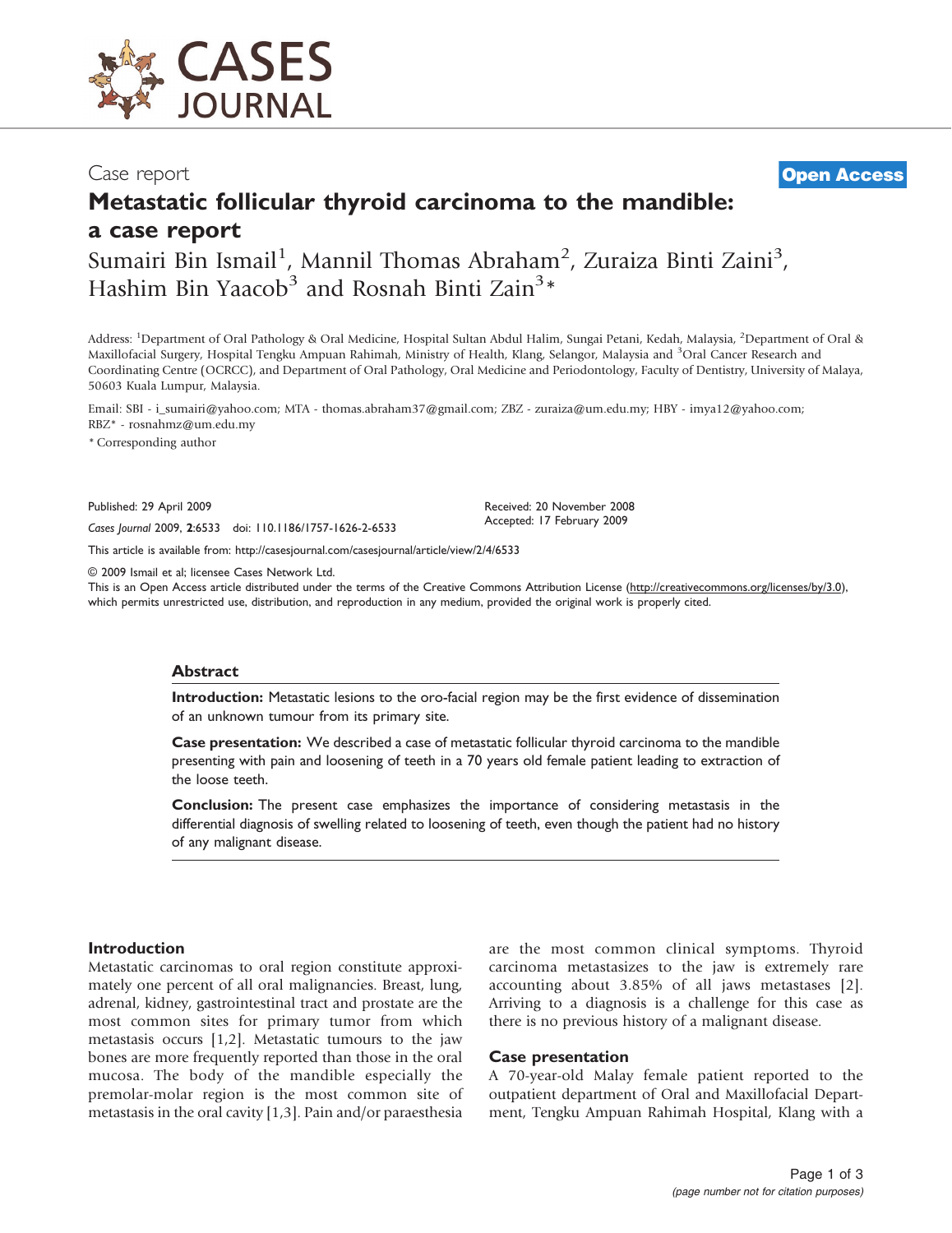

Case report **[Open Access](http://www.biomedcentral.com/info/about/charter/)**

# Metastatic follicular thyroid carcinoma to the mandible: a case report

Sumairi Bin Ismail<sup>1</sup>, Mannil Thomas Abraham<sup>2</sup>, Zuraiza Binti Zaini<sup>3</sup>, Hashim Bin Yaacob<sup>3</sup> and Rosnah Binti Zain<sup>3</sup>\*

Address: <sup>1</sup>Department of Oral Pathology & Oral Medicine, Hospital Sultan Abdul Halim, Sungai Petani, Kedah, Malaysia, <sup>2</sup>Department of Oral & Maxillofacial Surgery, Hospital Tengku Ampuan Rahimah, Ministry of Health, Klang, Selangor, Malaysia and <sup>3</sup>Oral Cancer Research and Coordinating Centre (OCRCC), and Department of Oral Pathology, Oral Medicine and Periodontology, Faculty of Dentistry, University of Malaya, 50603 Kuala Lumpur, Malaysia.

Email: SBI - i\_sumairi@yahoo.com; MTA - thomas.abraham37@gmail.com; ZBZ - zuraiza@um.edu.my; HBY - imya12@yahoo.com; RBZ\* - rosnahmz@um.edu.my

\* Corresponding author

Published: 29 April 2009 Received: 20 November 2008

Accepted: 17 February 2009 Cases Journal 2009, <sup>2</sup>:6533 doi: 110.1186/1757-1626-2-6533

This article is available from:<http://casesjournal.com/casesjournal/article/view/2/4/6533>

© 2009 Ismail et al; licensee Cases Network Ltd.

This is an Open Access article distributed under the terms of the Creative Commons Attribution License [\(http://creativecommons.org/licenses/by/3.0\)](http://creativecommons.org/licenses/by/3.0), which permits unrestricted use, distribution, and reproduction in any medium, provided the original work is properly cited.

#### Abstract

Introduction: Metastatic lesions to the oro-facial region may be the first evidence of dissemination of an unknown tumour from its primary site.

Case presentation: We described a case of metastatic follicular thyroid carcinoma to the mandible presenting with pain and loosening of teeth in a 70 years old female patient leading to extraction of the loose teeth.

Conclusion: The present case emphasizes the importance of considering metastasis in the differential diagnosis of swelling related to loosening of teeth, even though the patient had no history of any malignant disease.

#### **Introduction**

Metastatic carcinomas to oral region constitute approximately one percent of all oral malignancies. Breast, lung, adrenal, kidney, gastrointestinal tract and prostate are the most common sites for primary tumor from which metastasis occurs [\[1,2](#page-2-0)]. Metastatic tumours to the jaw bones are more frequently reported than those in the oral mucosa. The body of the mandible especially the premolar-molar region is the most common site of metastasis in the oral cavity [[1](#page-2-0),[3\]](#page-2-0). Pain and/or paraesthesia

are the most common clinical symptoms. Thyroid carcinoma metastasizes to the jaw is extremely rare accounting about 3.85% of all jaws metastases [\[2\]](#page-2-0). Arriving to a diagnosis is a challenge for this case as there is no previous history of a malignant disease.

#### Case presentation

A 70-year-old Malay female patient reported to the outpatient department of Oral and Maxillofacial Department, Tengku Ampuan Rahimah Hospital, Klang with a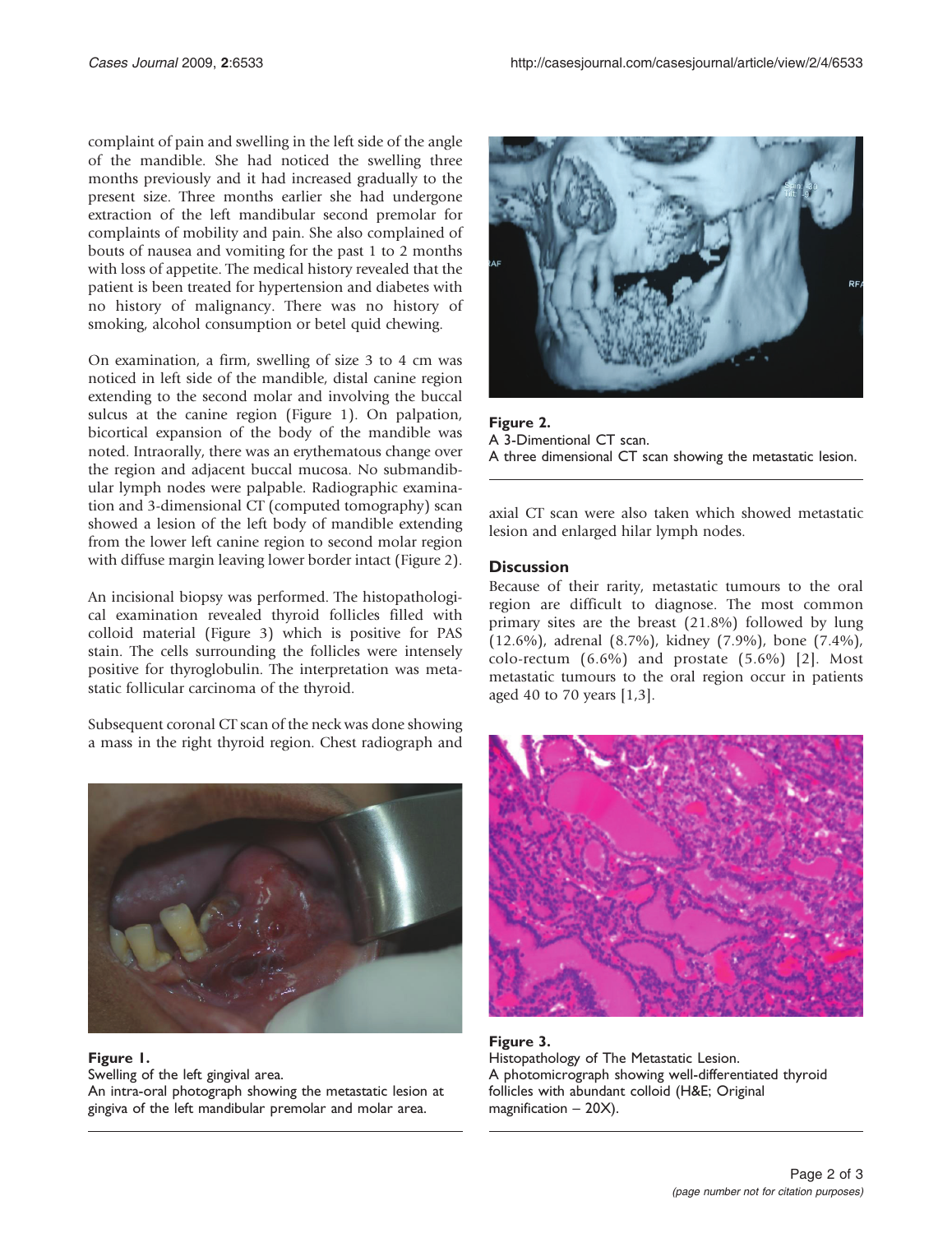complaint of pain and swelling in the left side of the angle of the mandible. She had noticed the swelling three months previously and it had increased gradually to the present size. Three months earlier she had undergone extraction of the left mandibular second premolar for complaints of mobility and pain. She also complained of bouts of nausea and vomiting for the past 1 to 2 months with loss of appetite. The medical history revealed that the patient is been treated for hypertension and diabetes with no history of malignancy. There was no history of smoking, alcohol consumption or betel quid chewing.

On examination, a firm, swelling of size 3 to 4 cm was noticed in left side of the mandible, distal canine region extending to the second molar and involving the buccal sulcus at the canine region (Figure 1). On palpation, bicortical expansion of the body of the mandible was noted. Intraorally, there was an erythematous change over the region and adjacent buccal mucosa. No submandibular lymph nodes were palpable. Radiographic examination and 3-dimensional CT (computed tomography) scan showed a lesion of the left body of mandible extending from the lower left canine region to second molar region with diffuse margin leaving lower border intact (Figure 2).

An incisional biopsy was performed. The histopathological examination revealed thyroid follicles filled with colloid material (Figure 3) which is positive for PAS stain. The cells surrounding the follicles were intensely positive for thyroglobulin. The interpretation was metastatic follicular carcinoma of the thyroid.

Subsequent coronal CT scan of the neck was done showing a mass in the right thyroid region. Chest radiograph and



## Figure 1.

Swelling of the left gingival area. An intra-oral photograph showing the metastatic lesion at gingiva of the left mandibular premolar and molar area.



Figure 2. A 3-Dimentional CT scan. A three dimensional CT scan showing the metastatic lesion.

axial CT scan were also taken which showed metastatic lesion and enlarged hilar lymph nodes.

# **Discussion**

Because of their rarity, metastatic tumours to the oral region are difficult to diagnose. The most common primary sites are the breast (21.8%) followed by lung (12.6%), adrenal (8.7%), kidney (7.9%), bone (7.4%), colo-rectum (6.6%) and prostate (5.6%) [[2](#page-2-0)]. Most metastatic tumours to the oral region occur in patients aged 40 to 70 years [[1](#page-2-0),[3\]](#page-2-0).



Figure 3. Histopathology of The Metastatic Lesion. A photomicrograph showing well-differentiated thyroid follicles with abundant colloid (H&E; Original magnification – 20X).